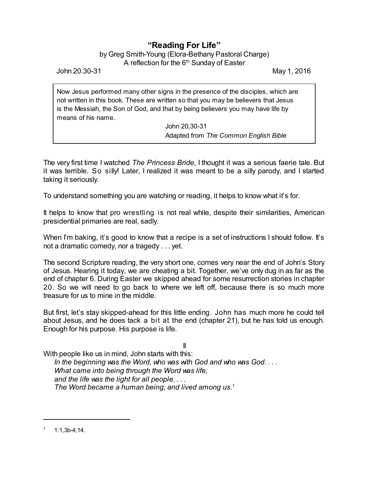## **"Reading For Life"**

by Greg Smith-Young (Elora-Bethany Pastoral Charge) A reflection for the  $6^{\text{th}}$  Sunday of Easter

John 20.30-31 May 1, 2016

Now Jesus performed many other signs in the presence of the disciples, which are not written in this book. These are written so that you may be believers that Jesus is the Messiah, the Son of God, and that by being believers you may have life by means of his name.

> John 20,30-31 Adapted from *The Common English Bible*

The very first time I watched *The Princess Bride*, I thought it was a serious faerie tale. But it was terrible. So silly! Later, I realized it was meant to be a silly parody, and I started taking it seriously.

To understand something you are watching or reading, it helps to know what it's for.

It helps to know that pro wrestling is not real while, despite their similarities, American presidential primaries are real, sadly.

When I'm baking, it's good to know that a recipe is a set of instructions I should follow. It's not a dramatic comedy, nor a tragedy . . . yet.

The second Scripture reading, the very short one, comes very near the end of John's Story of Jesus. Hearing it today, we are cheating a bit. Together, we've only dug in as far as the end of chapter 6. During Easter we skipped ahead for some resurrection stories in chapter 20. So we will need to go back to where we left off, because there is so much more treasure for us to mine in the middle.

But first, let's stay skipped-ahead for this little ending. John has much more he could tell about Jesus, and he does tack a bit at the end (chapter 21), but he has told us enough. Enough for his purpose. His purpose is life.

II

With people like us in mind, John starts with this:

*In the beginning was the Word, who was with God and who was God. . . . What came into being through the Word was life, and the life was the light for all people. . . . The Word became a human being, and lived among us.<sup>1</sup>*

 $1:1,3b-4,14.$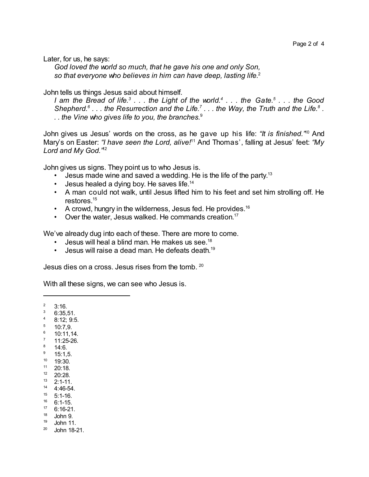Later, for us, he says:

*God loved the world so much, that he gave his one and only Son, so that everyone who believes in him can have deep, lasting life.*<sup>2</sup>

John tells us things Jesus said about himself.

I am the Bread of life. $^3$  . . . the Light of the world. $^4$  . . . the Gate. $^5$  . . . the Good *Shepherd.<sup>6</sup> . . . the Resurrection and the Life.<sup>7</sup> . . . the Way, the Truth and the Life.<sup>8</sup> . . . the Vine who gives life to you, the branches.*<sup>9</sup>

John gives us Jesus' words on the cross, as he gave up his life: *"It is finished."* <sup>10</sup> And Mary's on Easter: *"I have seen the Lord, alive!*<sup>11</sup> And Thomas', falling at Jesus' feet: *"My Lord and My God."* 12

John gives us signs. They point us to who Jesus is.

- Jesus made wine and saved a wedding. He is the life of the party.<sup>13</sup>
- $\cdot$  Jesus healed a dying boy. He saves life.<sup>14</sup>
- A man could not walk, until Jesus lifted him to his feet and set him strolling off. He restores.<sup>15</sup>
- A crowd, hungry in the wilderness, Jesus fed. He provides.<sup>16</sup>
- Over the water, Jesus walked. He commands creation.<sup>17</sup>

We've already dug into each of these. There are more to come.

- Jesus will heal a blind man. He makes us see.<sup>18</sup>
- Jesus will raise a dead man. He defeats death.<sup>19</sup>

Jesus dies on a cross. Jesus rises from the tomb. <sup>20</sup>

With all these signs, we can see who Jesus is.

 $2 \quad 3:16.$ 

- $36:35,51$ .
- <sup>4</sup> 8:12; 9:5.
- $5$  10:7,9.
- $^{6}$  10:11,14.
- $\frac{7}{8}$  11:25-26.
- $\frac{8}{9}$  14:6.
- <sup>9</sup> 15:1,5. <sup>10</sup> 19:30.
- <sup>11</sup> 20:18.
- <sup>12</sup> 20:28.
- $\frac{13}{14}$  2:1-11.
- <sup>14</sup> 4:46-54.
- $15$  5:1-16.
- $16$  6:1-15.
- $17 \quad 6:16-21.$
- <sup>18</sup> John 9.
- <sup>19</sup> John 11.
- $20$  John 18-21.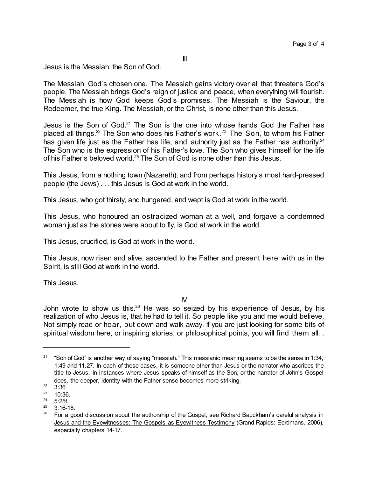Jesus is the Messiah, the Son of God.

The Messiah, God's chosen one. The Messiah gains victory over all that threatens God's people. The Messiah brings God's reign of justice and peace, when everything will flourish. The Messiah is how God keeps God's promises. The Messiah is the Saviour, the Redeemer, the true King. The Messiah, or the Christ, is none other than this Jesus.

Jesus is the Son of God.<sup>21</sup> The Son is the one into whose hands God the Father has placed all things.<sup>22</sup> The Son who does his Father's work.<sup>23</sup> The Son, to whom his Father has given life just as the Father has life, and authority just as the Father has authority.<sup>24</sup> The Son who is the expression of his Father's love. The Son who gives himself for the life of his Father's beloved world.<sup>25</sup> The Son of God is none other than this Jesus.

This Jesus, from a nothing town (Nazareth), and from perhaps history's most hard-pressed people (the Jews) . . . this Jesus is God at work in the world.

This Jesus, who got thirsty, and hungered, and wept is God at work in the world.

This Jesus, who honoured an ostracized woman at a well, and forgave a condemned woman just as the stones were about to fly, is God at work in the world.

This Jesus, crucified, is God at work in the world.

This Jesus, now risen and alive, ascended to the Father and present here with us in the Spirit, is still God at work in the world.

This Jesus.

 $N$ 

John wrote to show us this.<sup>26</sup> He was so seized by his experience of Jesus, by his realization of who Jesus is, that he had to tell it. So people like you and me would believe. Not simply read or hear, put down and walk away. If you are just looking for some bits of spiritual wisdom here, or inspiring stories, or philosophical points, you will find them all. .

<sup>21</sup> "Son of God" is another way of saying "messiah." This messianic meaning seems to be the sense in 1:34, 1:49 and 11.27. In each of these cases, it is someone other than Jesus or the narrator who ascribes the title to Jesus. In instances where Jesus speaks of himself as the Son, or the narrator of John's Gospel does, the deeper, identity-with-the-Father sense becomes more striking.

 $\frac{22}{23}$  3:36.

 $\frac{23}{24}$  10:36.

 $\frac{24}{25}$  5:25f.

 $3:16-18.$ 

<sup>&</sup>lt;sup>26</sup> For a good discussion about the authorship of the Gospel, see Richard Bauckham's careful analysis in Jesus and the Eyewitnesses: The Gospels as Eyewitness Testimony (Grand Rapids: Eerdmans, 2006), especially chapters 14-17.